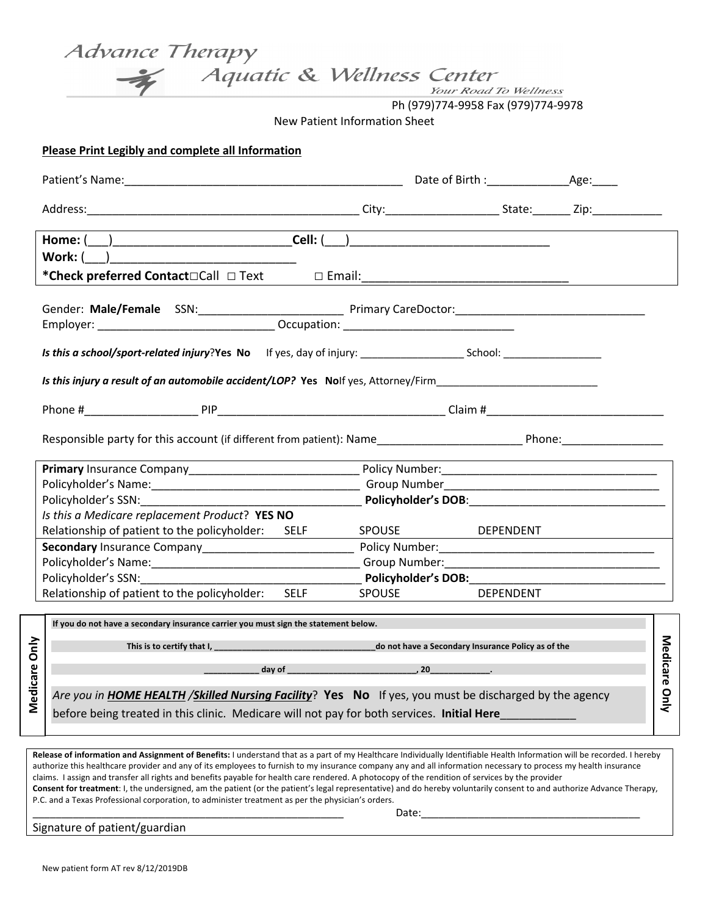| Advance Therapy |                           |                 |
|-----------------|---------------------------|-----------------|
| $\rightarrow$   | Aquatic & Wellness Center |                 |
|                 |                           | Your Road To We |

Your Road To Wellness

Ph (979)774-9958 Fax (979)774-9978

New Patient Information Sheet

| Is this injury a result of an automobile accident/LOP? Yes Nolf yes, Attorney/Firm____________________________                                                                                                                                                                                                                             |                                                                                                                |                                                                                                                                                                                                                               |           |
|--------------------------------------------------------------------------------------------------------------------------------------------------------------------------------------------------------------------------------------------------------------------------------------------------------------------------------------------|----------------------------------------------------------------------------------------------------------------|-------------------------------------------------------------------------------------------------------------------------------------------------------------------------------------------------------------------------------|-----------|
|                                                                                                                                                                                                                                                                                                                                            |                                                                                                                |                                                                                                                                                                                                                               |           |
| Responsible party for this account (if different from patient): Name                                                                                                                                                                                                                                                                       |                                                                                                                |                                                                                                                                                                                                                               |           |
|                                                                                                                                                                                                                                                                                                                                            |                                                                                                                |                                                                                                                                                                                                                               |           |
|                                                                                                                                                                                                                                                                                                                                            |                                                                                                                |                                                                                                                                                                                                                               |           |
| Policyholder's SSN: ___________                                                                                                                                                                                                                                                                                                            | Policyholder's DOB: Annual Communication of the Communication of the Communication of the Communication of the |                                                                                                                                                                                                                               |           |
| Is this a Medicare replacement Product? YES NO                                                                                                                                                                                                                                                                                             |                                                                                                                |                                                                                                                                                                                                                               |           |
| Relationship of patient to the policyholder: SELF                                                                                                                                                                                                                                                                                          |                                                                                                                | SPOUSE DEPENDENT                                                                                                                                                                                                              |           |
|                                                                                                                                                                                                                                                                                                                                            |                                                                                                                |                                                                                                                                                                                                                               |           |
|                                                                                                                                                                                                                                                                                                                                            |                                                                                                                |                                                                                                                                                                                                                               |           |
| Policyholder's SSN:                                                                                                                                                                                                                                                                                                                        |                                                                                                                | Policyholder's DOB: North and South Articles and South Articles and South Articles and South Articles and South Articles and South Articles and Articles and Articles and Articles and Articles and Articles and Articles and |           |
| Relationship of patient to the policyholder:                                                                                                                                                                                                                                                                                               | <b>SPOUSE</b><br><b>SELF</b>                                                                                   | DEPENDENT                                                                                                                                                                                                                     |           |
| If you do not have a secondary insurance carrier you must sign the statement below.                                                                                                                                                                                                                                                        |                                                                                                                |                                                                                                                                                                                                                               |           |
|                                                                                                                                                                                                                                                                                                                                            |                                                                                                                |                                                                                                                                                                                                                               | Medi      |
| day of                                                                                                                                                                                                                                                                                                                                     | 20                                                                                                             |                                                                                                                                                                                                                               |           |
|                                                                                                                                                                                                                                                                                                                                            |                                                                                                                |                                                                                                                                                                                                                               |           |
| Are you in HOME HEALTH /Skilled Nursing Facility? Yes No If yes, you must be discharged by the agency                                                                                                                                                                                                                                      |                                                                                                                |                                                                                                                                                                                                                               | care Only |
| before being treated in this clinic. Medicare will not pay for both services. Initial Here                                                                                                                                                                                                                                                 |                                                                                                                |                                                                                                                                                                                                                               |           |
|                                                                                                                                                                                                                                                                                                                                            |                                                                                                                |                                                                                                                                                                                                                               |           |
|                                                                                                                                                                                                                                                                                                                                            |                                                                                                                |                                                                                                                                                                                                                               |           |
| Release of information and Assignment of Benefits: I understand that as a part of my Healthcare Individually Identifiable Health Information will be recorded. I hereby<br>authorize this healthcare provider and any of its employees to furnish to my insurance company any and all information necessary to process my health insurance |                                                                                                                |                                                                                                                                                                                                                               |           |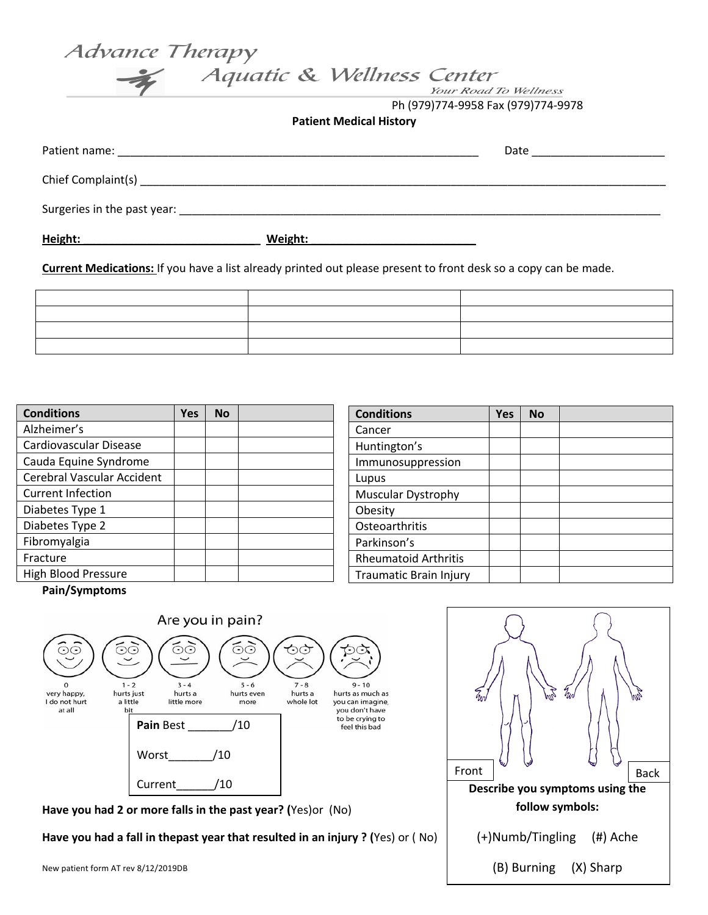Advance Therapy Aquatic & Wellness Center

Your Road To Wellness

Ph (979)774-9958 Fax (979)774-9978

#### **Patient Medical History**

| Patient name: |         | Date |
|---------------|---------|------|
|               |         |      |
|               |         |      |
| Height:       | Weight: |      |

**Current Medications:** If you have a list already printed out please present to front desk so a copy can be made.

| <b>Conditions</b>          | Yes | <b>No</b> |  |
|----------------------------|-----|-----------|--|
| Alzheimer's                |     |           |  |
| Cardiovascular Disease     |     |           |  |
| Cauda Equine Syndrome      |     |           |  |
| Cerebral Vascular Accident |     |           |  |
| <b>Current Infection</b>   |     |           |  |
| Diabetes Type 1            |     |           |  |
| Diabetes Type 2            |     |           |  |
| Fibromyalgia               |     |           |  |
| Fracture                   |     |           |  |
| <b>High Blood Pressure</b> |     |           |  |

| <b>Yes</b> | <b>No</b> |  |
|------------|-----------|--|
|            |           |  |
|            |           |  |
|            |           |  |
|            |           |  |
|            |           |  |
|            |           |  |
|            |           |  |
|            |           |  |
|            |           |  |
|            |           |  |
|            |           |  |

# **Pain/Symptoms**



**Have you had 2 or more falls in the past year? (**Yes)or (No)

**Have you had a fall in thepast year that resulted in an injury ? (**Yes) or ( No)

g<br>w Front | V **follow symbols:** (+)Numb/Tingling (#) Ache (B) Burning (X) Sharp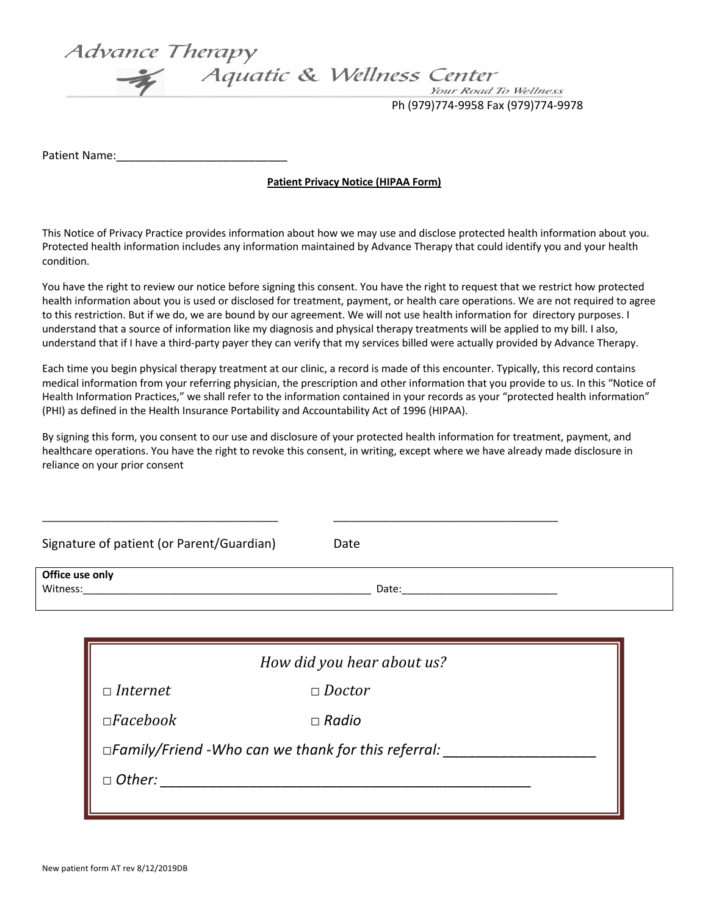Advance Therapy Aquatic & Wellness Center

Your Road To Wellness Ph (979)774-9958 Fax (979)774-9978

Patient Name:

#### **Patient Privacy Notice (HIPAA Form)**

This Notice of Privacy Practice provides information about how we may use and disclose protected health information about you. Protected health information includes any information maintained by Advance Therapy that could identify you and your health condition.

You have the right to review our notice before signing this consent. You have the right to request that we restrict how protected health information about you is used or disclosed for treatment, payment, or health care operations. We are not required to agree to this restriction. But if we do, we are bound by our agreement. We will not use health information for directory purposes. I understand that a source of information like my diagnosis and physical therapy treatments will be applied to my bill. I also, understand that if I have a third-party payer they can verify that my services billed were actually provided by Advance Therapy.

Each time you begin physical therapy treatment at our clinic, a record is made of this encounter. Typically, this record contains medical information from your referring physician, the prescription and other information that you provide to us. In this "Notice of Health Information Practices," we shall refer to the information contained in your records as your "protected health information" (PHI) as defined in the Health Insurance Portability and Accountability Act of 1996 (HIPAA).

By signing this form, you consent to our use and disclosure of your protected health information for treatment, payment, and healthcare operations. You have the right to revoke this consent, in writing, except where we have already made disclosure in reliance on your prior consent

\_\_\_\_\_\_\_\_\_\_\_\_\_\_\_\_\_\_\_\_\_\_\_\_\_\_\_\_\_\_\_\_\_\_\_\_\_\_\_\_\_ \_\_\_\_\_\_\_\_\_\_\_\_\_\_\_\_\_\_\_\_\_\_\_\_\_\_\_\_\_\_\_\_\_\_\_\_\_\_\_

| Signature of patient (or Parent/Guardian) | Date  |
|-------------------------------------------|-------|
| Office use only                           |       |
| Witness:                                  | Date: |

|                                                              | How did you hear about us? |  |
|--------------------------------------------------------------|----------------------------|--|
| $\Box$ Internet                                              | $\Box$ Doctor              |  |
| $\square$ <i>Facebook</i>                                    | $\Box$ Radio               |  |
| $\square$ Family/Friend -Who can we thank for this referral: |                            |  |
| $\Box$ Other:                                                |                            |  |
|                                                              |                            |  |